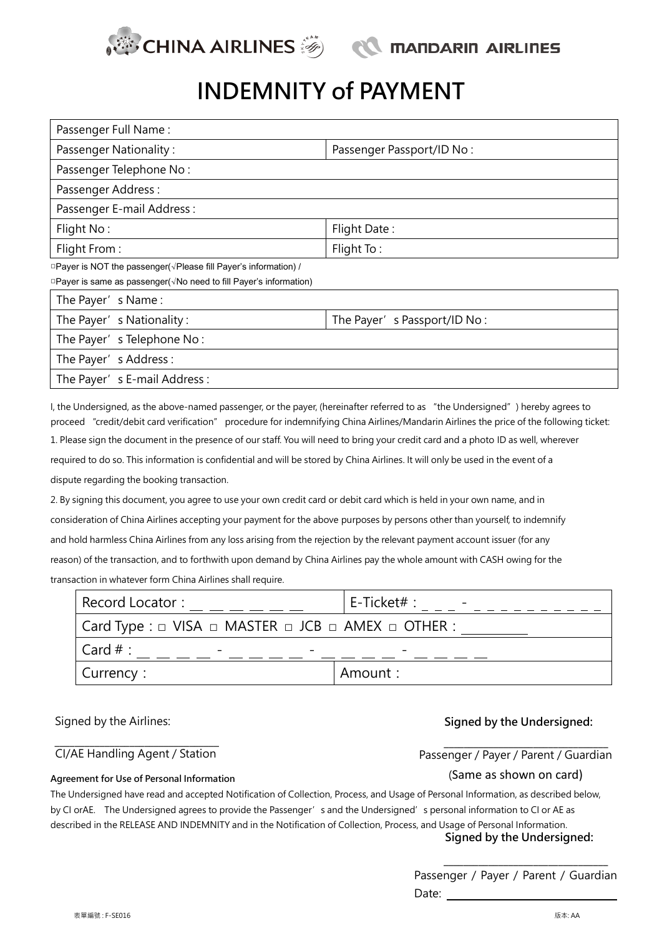

# INDEMNITY of PAYMENT

| Passenger Full Name:                                                         |                             |
|------------------------------------------------------------------------------|-----------------------------|
| <b>Passenger Nationality:</b>                                                | Passenger Passport/ID No:   |
| Passenger Telephone No:                                                      |                             |
| Passenger Address:                                                           |                             |
| Passenger E-mail Address :                                                   |                             |
| Flight No:                                                                   | Flight Date:                |
| Flight From:                                                                 | Flight To:                  |
| □ Payer is NOT the passenger( $\sqrt{P}$ Please fill Payer's information) /  |                             |
| □ Payer is same as passenger( $\sqrt{N}$ o need to fill Payer's information) |                             |
| The Payer's Name:                                                            |                             |
| The Payer's Nationality:                                                     | The Payer's Passport/ID No: |
| The Payer's Telephone No:                                                    |                             |

The Payer's Address: The Payer's E-mail Address:

I, the Undersigned, as the above-named passenger, or the payer, (hereinafter referred to as "the Undersigned") hereby agrees to proceed "credit/debit card verification" procedure for indemnifying China Airlines/Mandarin Airlines the price of the following ticket: 1. Please sign the document in the presence of our staff. You will need to bring your credit card and a photo ID as well, wherever required to do so. This information is confidential and will be stored by China Airlines. It will only be used in the event of a dispute regarding the booking transaction.

2. By signing this document, you agree to use your own credit card or debit card which is held in your own name, and in consideration of China Airlines accepting your payment for the above purposes by persons other than yourself, to indemnify and hold harmless China Airlines from any loss arising from the rejection by the relevant payment account issuer (for any reason) of the transaction, and to forthwith upon demand by China Airlines pay the whole amount with CASH owing for the transaction in whatever form China Airlines shall require.

| Record Locator:                                                                              | $E$ -Ticket# : |
|----------------------------------------------------------------------------------------------|----------------|
| $\mid$ Card Type : $\sqcup$ VISA $\sqcup$ MASTER $\sqcup$ JCB $\sqcup$ AMEX $\sqcup$ OTHER : |                |
| $\text{Card } #:$                                                                            |                |
| Currency:                                                                                    | Amount:        |

### Signed by the Airlines: Signed by the Undersigned:

#### $\mathcal{L}_\text{max}$ CI/AE Handling Agent / Station

Agreement for Use of Personal Information

#### Passenger / Payer / Parent / Guardian

#### (Same as shown on card)

The Undersigned have read and accepted Notification of Collection, Process, and Usage of Personal Information, as described below, by CI orAE. The Undersigned agrees to provide the Passenger's and the Undersigned's personal information to CI or AE as described in the RELEASE AND INDEMNITY and in the Notification of Collection, Process, and Usage of Personal Information. Signed by the Undersigned:

> Passenger / Payer / Parent / Guardian Date:

 $\mathcal{L}_\text{max}$